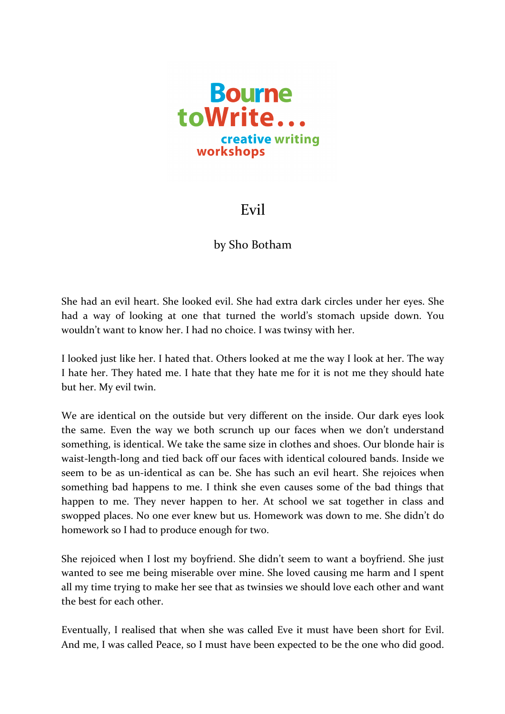

## Evil

## by Sho Botham

She had an evil heart. She looked evil. She had extra dark circles under her eyes. She had a way of looking at one that turned the world's stomach upside down. You wouldn't want to know her. I had no choice. I was twinsy with her.

I looked just like her. I hated that. Others looked at me the way I look at her. The way I hate her. They hated me. I hate that they hate me for it is not me they should hate but her. My evil twin.

We are identical on the outside but very different on the inside. Our dark eyes look the same. Even the way we both scrunch up our faces when we don't understand something, is identical. We take the same size in clothes and shoes. Our blonde hair is waist-length-long and tied back off our faces with identical coloured bands. Inside we seem to be as un-identical as can be. She has such an evil heart. She rejoices when something bad happens to me. I think she even causes some of the bad things that happen to me. They never happen to her. At school we sat together in class and swopped places. No one ever knew but us. Homework was down to me. She didn't do homework so I had to produce enough for two.

She rejoiced when I lost my boyfriend. She didn't seem to want a boyfriend. She just wanted to see me being miserable over mine. She loved causing me harm and I spent all my time trying to make her see that as twinsies we should love each other and want the best for each other.

Eventually, I realised that when she was called Eve it must have been short for Evil. And me, I was called Peace, so I must have been expected to be the one who did good.